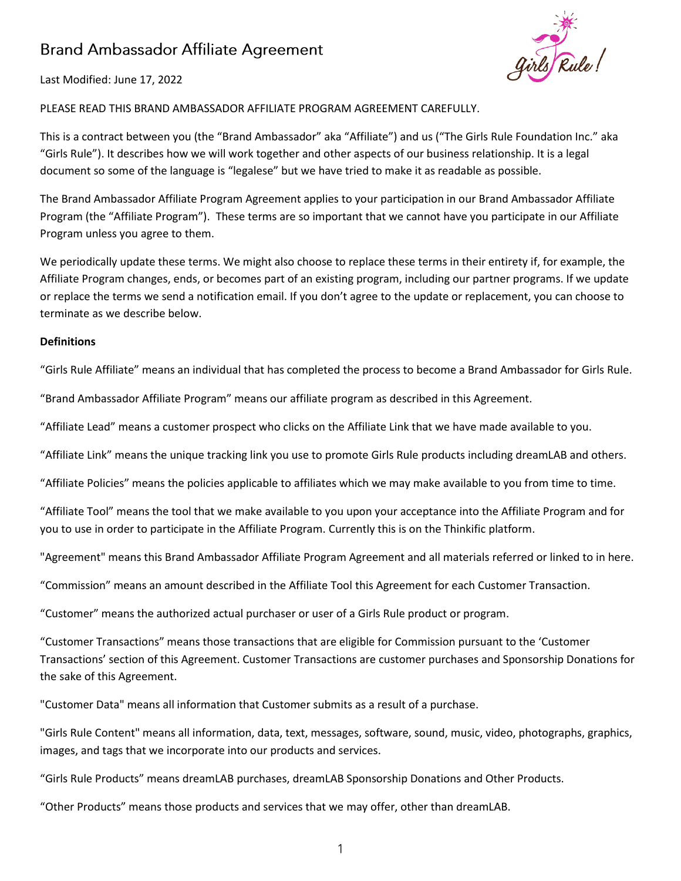# **Brand Ambassador Affiliate Agreement**



Last Modified: June 17, 2022

# PLEASE READ THIS BRAND AMBASSADOR AFFILIATE PROGRAM AGREEMENT CAREFULLY.

This is a contract between you (the "Brand Ambassador" aka "Affiliate") and us ("The Girls Rule Foundation Inc." aka "Girls Rule"). It describes how we will work together and other aspects of our business relationship. It is a legal document so some of the language is "legalese" but we have tried to make it as readable as possible.

The Brand Ambassador Affiliate Program Agreement applies to your participation in our Brand Ambassador Affiliate Program (the "Affiliate Program"). These terms are so important that we cannot have you participate in our Affiliate Program unless you agree to them.

We periodically update these terms. We might also choose to replace these terms in their entirety if, for example, the Affiliate Program changes, ends, or becomes part of an existing program, including our partner programs. If we update or replace the terms we send a notification email. If you don't agree to the update or replacement, you can choose to terminate as we describe below.

#### **Definitions**

"Girls Rule Affiliate" means an individual that has completed the process to become a Brand Ambassador for Girls Rule.

"Brand Ambassador Affiliate Program" means our affiliate program as described in this Agreement.

"Affiliate Lead" means a customer prospect who clicks on the Affiliate Link that we have made available to you.

"Affiliate Link" means the unique tracking link you use to promote Girls Rule products including dreamLAB and others.

"Affiliate Policies" means the policies applicable to affiliates which we may make available to you from time to time.

"Affiliate Tool" means the tool that we make available to you upon your acceptance into the Affiliate Program and for you to use in order to participate in the Affiliate Program. Currently this is on the Thinkific platform.

"Agreement" means this Brand Ambassador Affiliate Program Agreement and all materials referred or linked to in here.

"Commission" means an amount described in the Affiliate Tool this Agreement for each Customer Transaction.

"Customer" means the authorized actual purchaser or user of a Girls Rule product or program.

"Customer Transactions" means those transactions that are eligible for Commission pursuant to the 'Customer Transactions' section of this Agreement. Customer Transactions are customer purchases and Sponsorship Donations for the sake of this Agreement.

"Customer Data" means all information that Customer submits as a result of a purchase.

"Girls Rule Content" means all information, data, text, messages, software, sound, music, video, photographs, graphics, images, and tags that we incorporate into our products and services.

"Girls Rule Products" means dreamLAB purchases, dreamLAB Sponsorship Donations and Other Products.

"Other Products" means those products and services that we may offer, other than dreamLAB.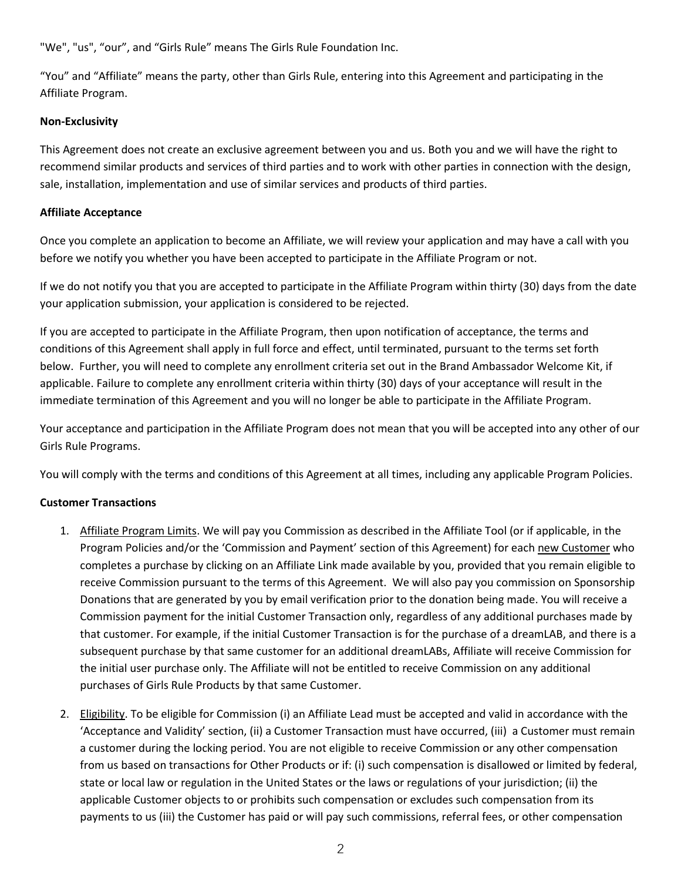"We", "us", "our", and "Girls Rule" means The Girls Rule Foundation Inc.

"You" and "Affiliate" means the party, other than Girls Rule, entering into this Agreement and participating in the Affiliate Program.

## **Non-Exclusivity**

This Agreement does not create an exclusive agreement between you and us. Both you and we will have the right to recommend similar products and services of third parties and to work with other parties in connection with the design, sale, installation, implementation and use of similar services and products of third parties.

## **Affiliate Acceptance**

Once you complete an application to become an Affiliate, we will review your application and may have a call with you before we notify you whether you have been accepted to participate in the Affiliate Program or not.

If we do not notify you that you are accepted to participate in the Affiliate Program within thirty (30) days from the date your application submission, your application is considered to be rejected.

If you are accepted to participate in the Affiliate Program, then upon notification of acceptance, the terms and conditions of this Agreement shall apply in full force and effect, until terminated, pursuant to the terms set forth below. Further, you will need to complete any enrollment criteria set out in the Brand Ambassador Welcome Kit, if applicable. Failure to complete any enrollment criteria within thirty (30) days of your acceptance will result in the immediate termination of this Agreement and you will no longer be able to participate in the Affiliate Program.

Your acceptance and participation in the Affiliate Program does not mean that you will be accepted into any other of our Girls Rule Programs.

You will comply with the terms and conditions of this Agreement at all times, including any applicable Program Policies.

# **Customer Transactions**

- 1. Affiliate Program Limits. We will pay you Commission as described in the Affiliate Tool (or if applicable, in the Program Policies and/or the 'Commission and Payment' section of this Agreement) for each new Customer who completes a purchase by clicking on an Affiliate Link made available by you, provided that you remain eligible to receive Commission pursuant to the terms of this Agreement. We will also pay you commission on Sponsorship Donations that are generated by you by email verification prior to the donation being made. You will receive a Commission payment for the initial Customer Transaction only, regardless of any additional purchases made by that customer. For example, if the initial Customer Transaction is for the purchase of a dreamLAB, and there is a subsequent purchase by that same customer for an additional dreamLABs, Affiliate will receive Commission for the initial user purchase only. The Affiliate will not be entitled to receive Commission on any additional purchases of Girls Rule Products by that same Customer.
- 2. Eligibility. To be eligible for Commission (i) an Affiliate Lead must be accepted and valid in accordance with the 'Acceptance and Validity' section, (ii) a Customer Transaction must have occurred, (iii) a Customer must remain a customer during the locking period. You are not eligible to receive Commission or any other compensation from us based on transactions for Other Products or if: (i) such compensation is disallowed or limited by federal, state or local law or regulation in the United States or the laws or regulations of your jurisdiction; (ii) the applicable Customer objects to or prohibits such compensation or excludes such compensation from its payments to us (iii) the Customer has paid or will pay such commissions, referral fees, or other compensation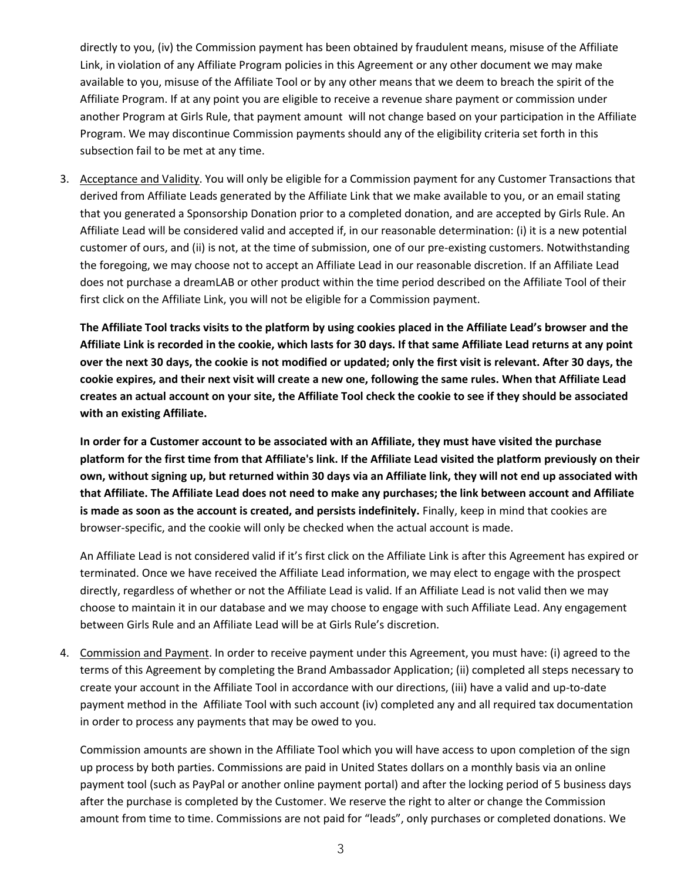directly to you, (iv) the Commission payment has been obtained by fraudulent means, misuse of the Affiliate Link, in violation of any Affiliate Program policies in this Agreement or any other document we may make available to you, misuse of the Affiliate Tool or by any other means that we deem to breach the spirit of the Affiliate Program. If at any point you are eligible to receive a revenue share payment or commission under another Program at Girls Rule, that payment amount will not change based on your participation in the Affiliate Program. We may discontinue Commission payments should any of the eligibility criteria set forth in this subsection fail to be met at any time.

3. Acceptance and Validity. You will only be eligible for a Commission payment for any Customer Transactions that derived from Affiliate Leads generated by the Affiliate Link that we make available to you, or an email stating that you generated a Sponsorship Donation prior to a completed donation, and are accepted by Girls Rule. An Affiliate Lead will be considered valid and accepted if, in our reasonable determination: (i) it is a new potential customer of ours, and (ii) is not, at the time of submission, one of our pre-existing customers. Notwithstanding the foregoing, we may choose not to accept an Affiliate Lead in our reasonable discretion. If an Affiliate Lead does not purchase a dreamLAB or other product within the time period described on the Affiliate Tool of their first click on the Affiliate Link, you will not be eligible for a Commission payment.

**The Affiliate Tool tracks visits to the platform by using cookies placed in the Affiliate Lead's browser and the Affiliate Link is recorded in the cookie, which lasts for 30 days. If that same Affiliate Lead returns at any point over the next 30 days, the cookie is not modified or updated; only the first visit is relevant. After 30 days, the cookie expires, and their next visit will create a new one, following the same rules. When that Affiliate Lead creates an actual account on your site, the Affiliate Tool check the cookie to see if they should be associated with an existing Affiliate.**

**In order for a Customer account to be associated with an Affiliate, they must have visited the purchase platform for the first time from that Affiliate's link. If the Affiliate Lead visited the platform previously on their own, without signing up, but returned within 30 days via an Affiliate link, they will not end up associated with that Affiliate. The Affiliate Lead does not need to make any purchases; the link between account and Affiliate is made as soon as the account is created, and persists indefinitely.** Finally, keep in mind that cookies are browser-specific, and the cookie will only be checked when the actual account is made.

An Affiliate Lead is not considered valid if it's first click on the Affiliate Link is after this Agreement has expired or terminated. Once we have received the Affiliate Lead information, we may elect to engage with the prospect directly, regardless of whether or not the Affiliate Lead is valid. If an Affiliate Lead is not valid then we may choose to maintain it in our database and we may choose to engage with such Affiliate Lead. Any engagement between Girls Rule and an Affiliate Lead will be at Girls Rule's discretion.

4. Commission and Payment. In order to receive payment under this Agreement, you must have: (i) agreed to the terms of this Agreement by completing the Brand Ambassador Application; (ii) completed all steps necessary to create your account in the Affiliate Tool in accordance with our directions, (iii) have a valid and up-to-date payment method in the Affiliate Tool with such account (iv) completed any and all required tax documentation in order to process any payments that may be owed to you.

Commission amounts are shown in the Affiliate Tool which you will have access to upon completion of the sign up process by both parties. Commissions are paid in United States dollars on a monthly basis via an online payment tool (such as PayPal or another online payment portal) and after the locking period of 5 business days after the purchase is completed by the Customer. We reserve the right to alter or change the Commission amount from time to time. Commissions are not paid for "leads", only purchases or completed donations. We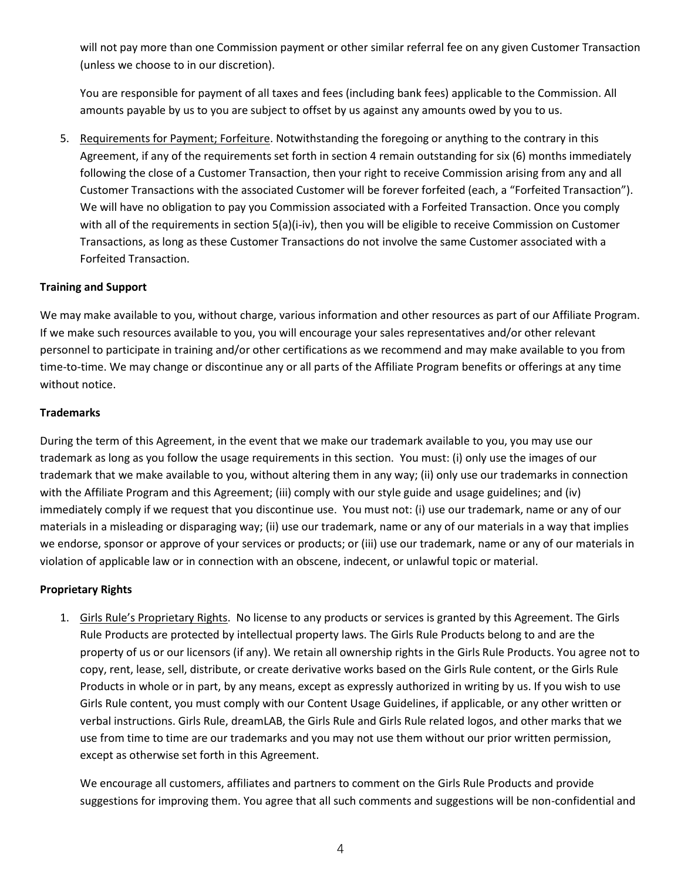will not pay more than one Commission payment or other similar referral fee on any given Customer Transaction (unless we choose to in our discretion).

You are responsible for payment of all taxes and fees (including bank fees) applicable to the Commission. All amounts payable by us to you are subject to offset by us against any amounts owed by you to us.

5. Requirements for Payment; Forfeiture. Notwithstanding the foregoing or anything to the contrary in this Agreement, if any of the requirements set forth in section 4 remain outstanding for six (6) months immediately following the close of a Customer Transaction, then your right to receive Commission arising from any and all Customer Transactions with the associated Customer will be forever forfeited (each, a "Forfeited Transaction"). We will have no obligation to pay you Commission associated with a Forfeited Transaction. Once you comply with all of the requirements in section 5(a)(i-iv), then you will be eligible to receive Commission on Customer Transactions, as long as these Customer Transactions do not involve the same Customer associated with a Forfeited Transaction.

## **Training and Support**

We may make available to you, without charge, various information and other resources as part of our Affiliate Program. If we make such resources available to you, you will encourage your sales representatives and/or other relevant personnel to participate in training and/or other certifications as we recommend and may make available to you from time-to-time. We may change or discontinue any or all parts of the Affiliate Program benefits or offerings at any time without notice.

## **Trademarks**

During the term of this Agreement, in the event that we make our trademark available to you, you may use our trademark as long as you follow the usage requirements in this section. You must: (i) only use the images of our trademark that we make available to you, without altering them in any way; (ii) only use our trademarks in connection with the Affiliate Program and this Agreement; (iii) comply with our style guide and usage guidelines; and (iv) immediately comply if we request that you discontinue use. You must not: (i) use our trademark, name or any of our materials in a misleading or disparaging way; (ii) use our trademark, name or any of our materials in a way that implies we endorse, sponsor or approve of your services or products; or (iii) use our trademark, name or any of our materials in violation of applicable law or in connection with an obscene, indecent, or unlawful topic or material.

## **Proprietary Rights**

1. Girls Rule's Proprietary Rights. No license to any products or services is granted by this Agreement. The Girls Rule Products are protected by intellectual property laws. The Girls Rule Products belong to and are the property of us or our licensors (if any). We retain all ownership rights in the Girls Rule Products. You agree not to copy, rent, lease, sell, distribute, or create derivative works based on the Girls Rule content, or the Girls Rule Products in whole or in part, by any means, except as expressly authorized in writing by us. If you wish to use Girls Rule content, you must comply with our Content Usage Guidelines, if applicable, or any other written or verbal instructions. Girls Rule, dreamLAB, the Girls Rule and Girls Rule related logos, and other marks that we use from time to time are our trademarks and you may not use them without our prior written permission, except as otherwise set forth in this Agreement.

We encourage all customers, affiliates and partners to comment on the Girls Rule Products and provide suggestions for improving them. You agree that all such comments and suggestions will be non-confidential and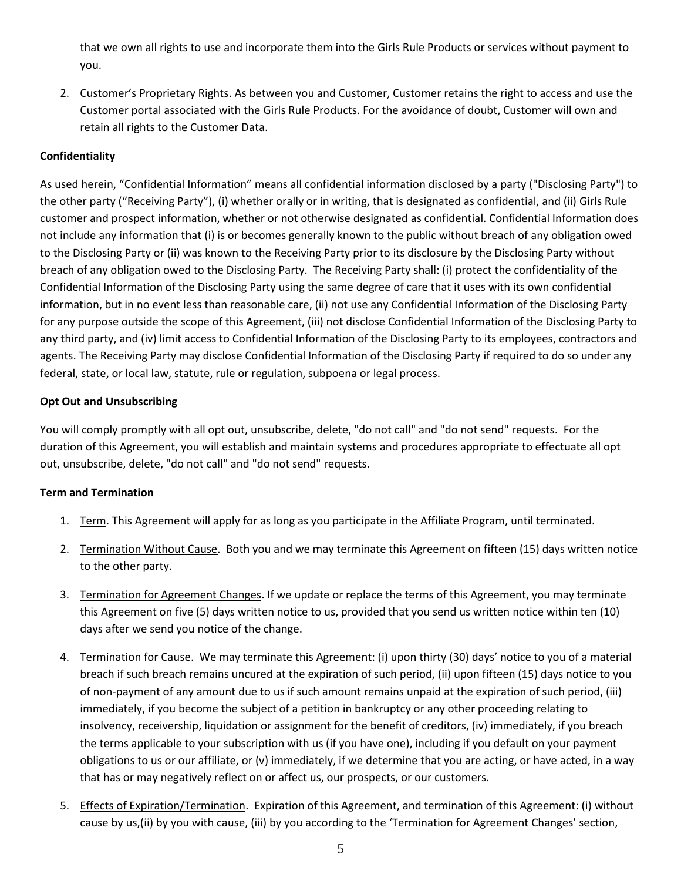that we own all rights to use and incorporate them into the Girls Rule Products or services without payment to you.

2. Customer's Proprietary Rights. As between you and Customer, Customer retains the right to access and use the Customer portal associated with the Girls Rule Products. For the avoidance of doubt, Customer will own and retain all rights to the Customer Data.

# **Confidentiality**

As used herein, "Confidential Information" means all confidential information disclosed by a party ("Disclosing Party") to the other party ("Receiving Party"), (i) whether orally or in writing, that is designated as confidential, and (ii) Girls Rule customer and prospect information, whether or not otherwise designated as confidential. Confidential Information does not include any information that (i) is or becomes generally known to the public without breach of any obligation owed to the Disclosing Party or (ii) was known to the Receiving Party prior to its disclosure by the Disclosing Party without breach of any obligation owed to the Disclosing Party. The Receiving Party shall: (i) protect the confidentiality of the Confidential Information of the Disclosing Party using the same degree of care that it uses with its own confidential information, but in no event less than reasonable care, (ii) not use any Confidential Information of the Disclosing Party for any purpose outside the scope of this Agreement, (iii) not disclose Confidential Information of the Disclosing Party to any third party, and (iv) limit access to Confidential Information of the Disclosing Party to its employees, contractors and agents. The Receiving Party may disclose Confidential Information of the Disclosing Party if required to do so under any federal, state, or local law, statute, rule or regulation, subpoena or legal process.

# **Opt Out and Unsubscribing**

You will comply promptly with all opt out, unsubscribe, delete, "do not call" and "do not send" requests. For the duration of this Agreement, you will establish and maintain systems and procedures appropriate to effectuate all opt out, unsubscribe, delete, "do not call" and "do not send" requests.

# **Term and Termination**

- 1. Term. This Agreement will apply for as long as you participate in the Affiliate Program, until terminated.
- 2. Termination Without Cause. Both you and we may terminate this Agreement on fifteen (15) days written notice to the other party.
- 3. Termination for Agreement Changes. If we update or replace the terms of this Agreement, you may terminate this Agreement on five (5) days written notice to us, provided that you send us written notice within ten (10) days after we send you notice of the change.
- 4. Termination for Cause. We may terminate this Agreement: (i) upon thirty (30) days' notice to you of a material breach if such breach remains uncured at the expiration of such period, (ii) upon fifteen (15) days notice to you of non-payment of any amount due to us if such amount remains unpaid at the expiration of such period, (iii) immediately, if you become the subject of a petition in bankruptcy or any other proceeding relating to insolvency, receivership, liquidation or assignment for the benefit of creditors, (iv) immediately, if you breach the terms applicable to your subscription with us (if you have one), including if you default on your payment obligations to us or our affiliate, or (v) immediately, if we determine that you are acting, or have acted, in a way that has or may negatively reflect on or affect us, our prospects, or our customers.
- 5. Effects of Expiration/Termination. Expiration of this Agreement, and termination of this Agreement: (i) without cause by us,(ii) by you with cause, (iii) by you according to the 'Termination for Agreement Changes' section,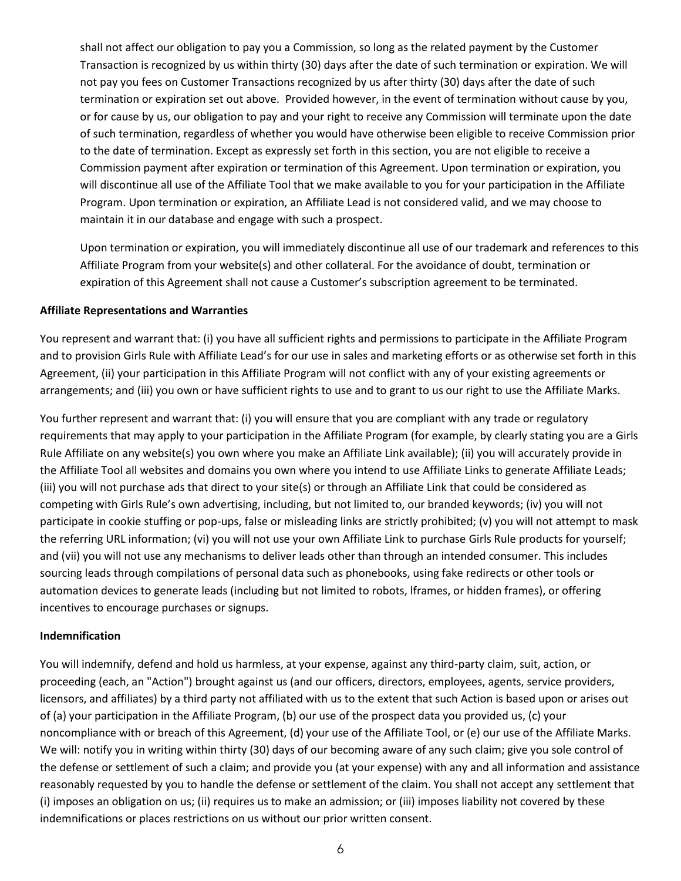shall not affect our obligation to pay you a Commission, so long as the related payment by the Customer Transaction is recognized by us within thirty (30) days after the date of such termination or expiration. We will not pay you fees on Customer Transactions recognized by us after thirty (30) days after the date of such termination or expiration set out above. Provided however, in the event of termination without cause by you, or for cause by us, our obligation to pay and your right to receive any Commission will terminate upon the date of such termination, regardless of whether you would have otherwise been eligible to receive Commission prior to the date of termination. Except as expressly set forth in this section, you are not eligible to receive a Commission payment after expiration or termination of this Agreement. Upon termination or expiration, you will discontinue all use of the Affiliate Tool that we make available to you for your participation in the Affiliate Program. Upon termination or expiration, an Affiliate Lead is not considered valid, and we may choose to maintain it in our database and engage with such a prospect.

Upon termination or expiration, you will immediately discontinue all use of our trademark and references to this Affiliate Program from your website(s) and other collateral. For the avoidance of doubt, termination or expiration of this Agreement shall not cause a Customer's subscription agreement to be terminated.

#### **Affiliate Representations and Warranties**

You represent and warrant that: (i) you have all sufficient rights and permissions to participate in the Affiliate Program and to provision Girls Rule with Affiliate Lead's for our use in sales and marketing efforts or as otherwise set forth in this Agreement, (ii) your participation in this Affiliate Program will not conflict with any of your existing agreements or arrangements; and (iii) you own or have sufficient rights to use and to grant to us our right to use the Affiliate Marks.

You further represent and warrant that: (i) you will ensure that you are compliant with any trade or regulatory requirements that may apply to your participation in the Affiliate Program (for example, by clearly stating you are a Girls Rule Affiliate on any website(s) you own where you make an Affiliate Link available); (ii) you will accurately provide in the Affiliate Tool all websites and domains you own where you intend to use Affiliate Links to generate Affiliate Leads; (iii) you will not purchase ads that direct to your site(s) or through an Affiliate Link that could be considered as competing with Girls Rule's own advertising, including, but not limited to, our branded keywords; (iv) you will not participate in cookie stuffing or pop-ups, false or misleading links are strictly prohibited; (v) you will not attempt to mask the referring URL information; (vi) you will not use your own Affiliate Link to purchase Girls Rule products for yourself; and (vii) you will not use any mechanisms to deliver leads other than through an intended consumer. This includes sourcing leads through compilations of personal data such as phonebooks, using fake redirects or other tools or automation devices to generate leads (including but not limited to robots, lframes, or hidden frames), or offering incentives to encourage purchases or signups.

## **Indemnification**

You will indemnify, defend and hold us harmless, at your expense, against any third-party claim, suit, action, or proceeding (each, an "Action") brought against us (and our officers, directors, employees, agents, service providers, licensors, and affiliates) by a third party not affiliated with us to the extent that such Action is based upon or arises out of (a) your participation in the Affiliate Program, (b) our use of the prospect data you provided us, (c) your noncompliance with or breach of this Agreement, (d) your use of the Affiliate Tool, or (e) our use of the Affiliate Marks. We will: notify you in writing within thirty (30) days of our becoming aware of any such claim; give you sole control of the defense or settlement of such a claim; and provide you (at your expense) with any and all information and assistance reasonably requested by you to handle the defense or settlement of the claim. You shall not accept any settlement that (i) imposes an obligation on us; (ii) requires us to make an admission; or (iii) imposes liability not covered by these indemnifications or places restrictions on us without our prior written consent.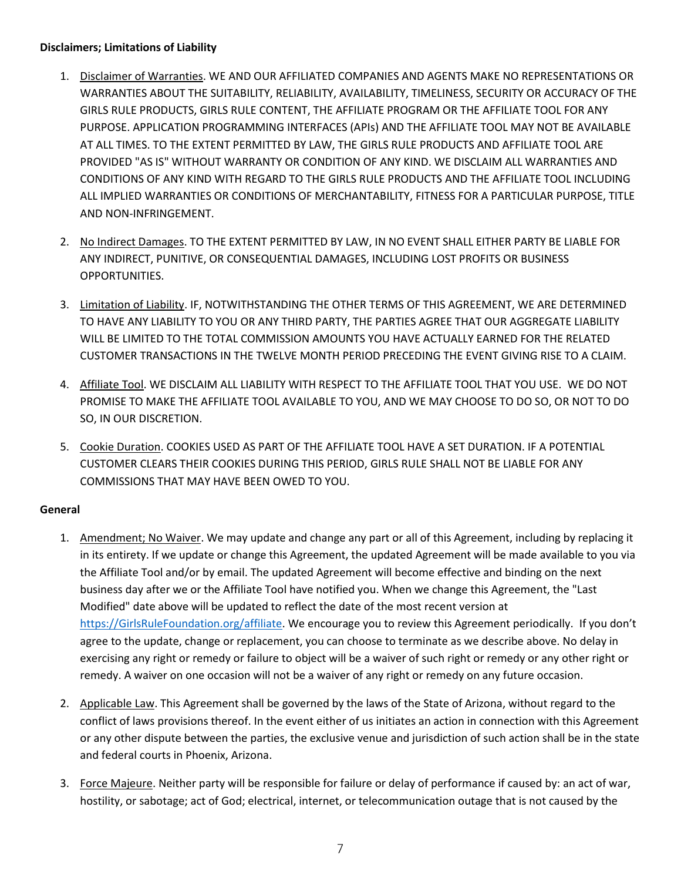## **Disclaimers; Limitations of Liability**

- 1. Disclaimer of Warranties. WE AND OUR AFFILIATED COMPANIES AND AGENTS MAKE NO REPRESENTATIONS OR WARRANTIES ABOUT THE SUITABILITY, RELIABILITY, AVAILABILITY, TIMELINESS, SECURITY OR ACCURACY OF THE GIRLS RULE PRODUCTS, GIRLS RULE CONTENT, THE AFFILIATE PROGRAM OR THE AFFILIATE TOOL FOR ANY PURPOSE. APPLICATION PROGRAMMING INTERFACES (APIs) AND THE AFFILIATE TOOL MAY NOT BE AVAILABLE AT ALL TIMES. TO THE EXTENT PERMITTED BY LAW, THE GIRLS RULE PRODUCTS AND AFFILIATE TOOL ARE PROVIDED "AS IS" WITHOUT WARRANTY OR CONDITION OF ANY KIND. WE DISCLAIM ALL WARRANTIES AND CONDITIONS OF ANY KIND WITH REGARD TO THE GIRLS RULE PRODUCTS AND THE AFFILIATE TOOL INCLUDING ALL IMPLIED WARRANTIES OR CONDITIONS OF MERCHANTABILITY, FITNESS FOR A PARTICULAR PURPOSE, TITLE AND NON-INFRINGEMENT.
- 2. No Indirect Damages. TO THE EXTENT PERMITTED BY LAW, IN NO EVENT SHALL EITHER PARTY BE LIABLE FOR ANY INDIRECT, PUNITIVE, OR CONSEQUENTIAL DAMAGES, INCLUDING LOST PROFITS OR BUSINESS OPPORTUNITIES.
- 3. Limitation of Liability. IF, NOTWITHSTANDING THE OTHER TERMS OF THIS AGREEMENT, WE ARE DETERMINED TO HAVE ANY LIABILITY TO YOU OR ANY THIRD PARTY, THE PARTIES AGREE THAT OUR AGGREGATE LIABILITY WILL BE LIMITED TO THE TOTAL COMMISSION AMOUNTS YOU HAVE ACTUALLY EARNED FOR THE RELATED CUSTOMER TRANSACTIONS IN THE TWELVE MONTH PERIOD PRECEDING THE EVENT GIVING RISE TO A CLAIM.
- 4. Affiliate Tool. WE DISCLAIM ALL LIABILITY WITH RESPECT TO THE AFFILIATE TOOL THAT YOU USE. WE DO NOT PROMISE TO MAKE THE AFFILIATE TOOL AVAILABLE TO YOU, AND WE MAY CHOOSE TO DO SO, OR NOT TO DO SO, IN OUR DISCRETION.
- 5. Cookie Duration. COOKIES USED AS PART OF THE AFFILIATE TOOL HAVE A SET DURATION. IF A POTENTIAL CUSTOMER CLEARS THEIR COOKIES DURING THIS PERIOD, GIRLS RULE SHALL NOT BE LIABLE FOR ANY COMMISSIONS THAT MAY HAVE BEEN OWED TO YOU.

# **General**

- 1. Amendment; No Waiver. We may update and change any part or all of this Agreement, including by replacing it in its entirety. If we update or change this Agreement, the updated Agreement will be made available to you via the Affiliate Tool and/or by email. The updated Agreement will become effective and binding on the next business day after we or the Affiliate Tool have notified you. When we change this Agreement, the "Last Modified" date above will be updated to reflect the date of the most recent version at [https://GirlsRuleFoundation.org/affiliate.](https://girlsrulefoundation.org/affiliate) We encourage you to review this Agreement periodically. If you don't agree to the update, change or replacement, you can choose to terminate as we describe above. No delay in exercising any right or remedy or failure to object will be a waiver of such right or remedy or any other right or remedy. A waiver on one occasion will not be a waiver of any right or remedy on any future occasion.
- 2. Applicable Law. This Agreement shall be governed by the laws of the State of Arizona, without regard to the conflict of laws provisions thereof. In the event either of us initiates an action in connection with this Agreement or any other dispute between the parties, the exclusive venue and jurisdiction of such action shall be in the state and federal courts in Phoenix, Arizona.
- 3. Force Majeure. Neither party will be responsible for failure or delay of performance if caused by: an act of war, hostility, or sabotage; act of God; electrical, internet, or telecommunication outage that is not caused by the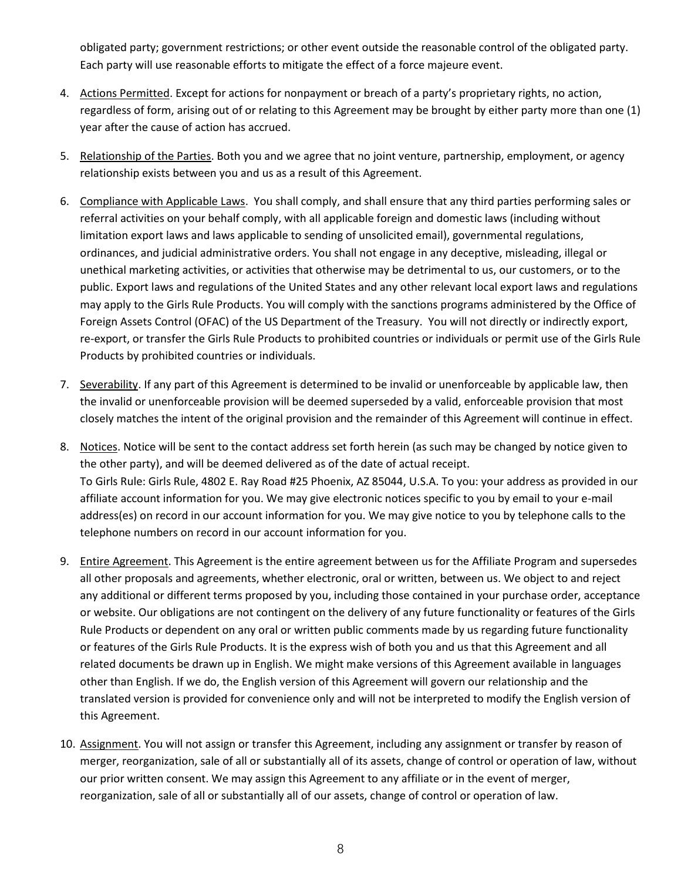obligated party; government restrictions; or other event outside the reasonable control of the obligated party. Each party will use reasonable efforts to mitigate the effect of a force majeure event.

- 4. Actions Permitted. Except for actions for nonpayment or breach of a party's proprietary rights, no action, regardless of form, arising out of or relating to this Agreement may be brought by either party more than one (1) year after the cause of action has accrued.
- 5. Relationship of the Parties. Both you and we agree that no joint venture, partnership, employment, or agency relationship exists between you and us as a result of this Agreement.
- 6. Compliance with Applicable Laws. You shall comply, and shall ensure that any third parties performing sales or referral activities on your behalf comply, with all applicable foreign and domestic laws (including without limitation export laws and laws applicable to sending of unsolicited email), governmental regulations, ordinances, and judicial administrative orders. You shall not engage in any deceptive, misleading, illegal or unethical marketing activities, or activities that otherwise may be detrimental to us, our customers, or to the public. Export laws and regulations of the United States and any other relevant local export laws and regulations may apply to the Girls Rule Products. You will comply with the sanctions programs administered by the Office of Foreign Assets Control (OFAC) of the US Department of the Treasury. You will not directly or indirectly export, re-export, or transfer the Girls Rule Products to prohibited countries or individuals or permit use of the Girls Rule Products by prohibited countries or individuals.
- 7. Severability. If any part of this Agreement is determined to be invalid or unenforceable by applicable law, then the invalid or unenforceable provision will be deemed superseded by a valid, enforceable provision that most closely matches the intent of the original provision and the remainder of this Agreement will continue in effect.
- 8. Notices. Notice will be sent to the contact address set forth herein (as such may be changed by notice given to the other party), and will be deemed delivered as of the date of actual receipt. To Girls Rule: Girls Rule, 4802 E. Ray Road #25 Phoenix, AZ 85044, U.S.A. To you: your address as provided in our affiliate account information for you. We may give electronic notices specific to you by email to your e-mail address(es) on record in our account information for you. We may give notice to you by telephone calls to the telephone numbers on record in our account information for you.
- 9. Entire Agreement. This Agreement is the entire agreement between us for the Affiliate Program and supersedes all other proposals and agreements, whether electronic, oral or written, between us. We object to and reject any additional or different terms proposed by you, including those contained in your purchase order, acceptance or website. Our obligations are not contingent on the delivery of any future functionality or features of the Girls Rule Products or dependent on any oral or written public comments made by us regarding future functionality or features of the Girls Rule Products. It is the express wish of both you and us that this Agreement and all related documents be drawn up in English. We might make versions of this Agreement available in languages other than English. If we do, the English version of this Agreement will govern our relationship and the translated version is provided for convenience only and will not be interpreted to modify the English version of this Agreement.
- 10. Assignment. You will not assign or transfer this Agreement, including any assignment or transfer by reason of merger, reorganization, sale of all or substantially all of its assets, change of control or operation of law, without our prior written consent. We may assign this Agreement to any affiliate or in the event of merger, reorganization, sale of all or substantially all of our assets, change of control or operation of law.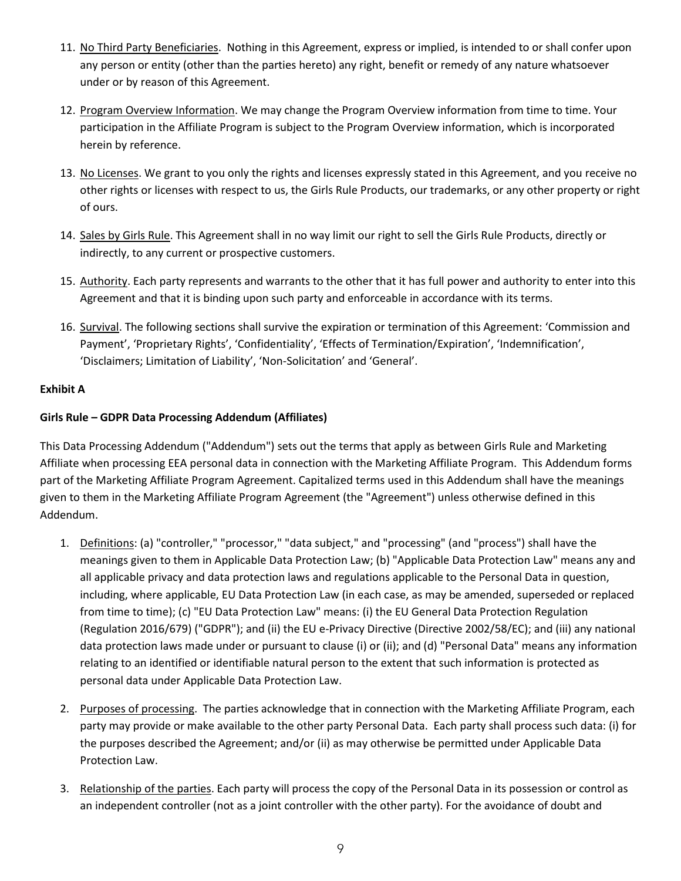- 11. No Third Party Beneficiaries. Nothing in this Agreement, express or implied, is intended to or shall confer upon any person or entity (other than the parties hereto) any right, benefit or remedy of any nature whatsoever under or by reason of this Agreement.
- 12. Program Overview Information. We may change the Program Overview information from time to time. Your participation in the Affiliate Program is subject to the Program Overview information, which is incorporated herein by reference.
- 13. No Licenses. We grant to you only the rights and licenses expressly stated in this Agreement, and you receive no other rights or licenses with respect to us, the Girls Rule Products, our trademarks, or any other property or right of ours.
- 14. Sales by Girls Rule. This Agreement shall in no way limit our right to sell the Girls Rule Products, directly or indirectly, to any current or prospective customers.
- 15. Authority. Each party represents and warrants to the other that it has full power and authority to enter into this Agreement and that it is binding upon such party and enforceable in accordance with its terms.
- 16. Survival. The following sections shall survive the expiration or termination of this Agreement: 'Commission and Payment', 'Proprietary Rights', 'Confidentiality', 'Effects of Termination/Expiration', 'Indemnification', 'Disclaimers; Limitation of Liability', 'Non-Solicitation' and 'General'.

# **Exhibit A**

# **Girls Rule – GDPR Data Processing Addendum (Affiliates)**

This Data Processing Addendum ("Addendum") sets out the terms that apply as between Girls Rule and Marketing Affiliate when processing EEA personal data in connection with the Marketing Affiliate Program. This Addendum forms part of the Marketing Affiliate Program Agreement. Capitalized terms used in this Addendum shall have the meanings given to them in the Marketing Affiliate Program Agreement (the "Agreement") unless otherwise defined in this Addendum.

- 1. Definitions: (a) "controller," "processor," "data subject," and "processing" (and "process") shall have the meanings given to them in Applicable Data Protection Law; (b) "Applicable Data Protection Law" means any and all applicable privacy and data protection laws and regulations applicable to the Personal Data in question, including, where applicable, EU Data Protection Law (in each case, as may be amended, superseded or replaced from time to time); (c) "EU Data Protection Law" means: (i) the EU General Data Protection Regulation (Regulation 2016/679) ("GDPR"); and (ii) the EU e-Privacy Directive (Directive 2002/58/EC); and (iii) any national data protection laws made under or pursuant to clause (i) or (ii); and (d) "Personal Data" means any information relating to an identified or identifiable natural person to the extent that such information is protected as personal data under Applicable Data Protection Law.
- 2. Purposes of processing. The parties acknowledge that in connection with the Marketing Affiliate Program, each party may provide or make available to the other party Personal Data. Each party shall process such data: (i) for the purposes described the Agreement; and/or (ii) as may otherwise be permitted under Applicable Data Protection Law.
- 3. Relationship of the parties. Each party will process the copy of the Personal Data in its possession or control as an independent controller (not as a joint controller with the other party). For the avoidance of doubt and